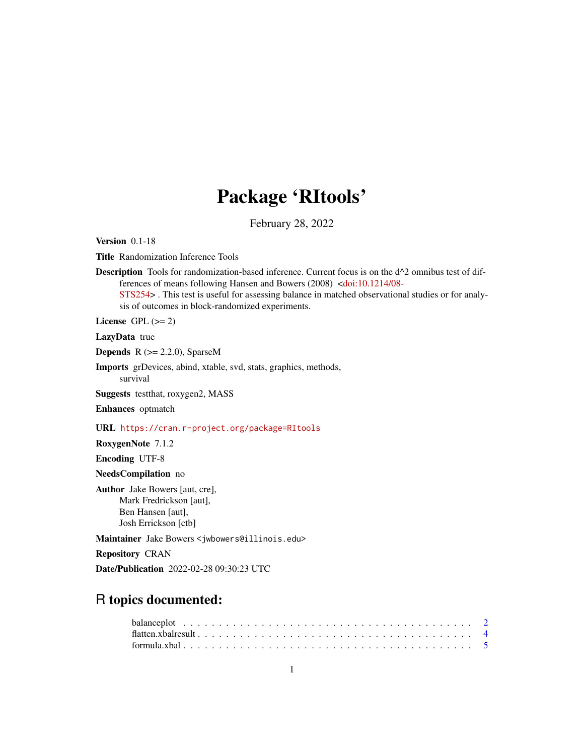# Package 'RItools'

February 28, 2022

<span id="page-0-0"></span>Version 0.1-18

Title Randomization Inference Tools

Description Tools for randomization-based inference. Current focus is on the d^2 omnibus test of differences of means following Hansen and Bowers (2008) [<doi:10.1214/08-](https://doi.org/10.1214/08-STS254) [STS254>](https://doi.org/10.1214/08-STS254) . This test is useful for assessing balance in matched observational studies or for analysis of outcomes in block-randomized experiments.

License GPL  $(>= 2)$ 

LazyData true

**Depends**  $R$  ( $>= 2.2.0$ ), SparseM

Imports grDevices, abind, xtable, svd, stats, graphics, methods, survival

Suggests testthat, roxygen2, MASS

Enhances optmatch

URL <https://cran.r-project.org/package=RItools>

RoxygenNote 7.1.2

Encoding UTF-8

NeedsCompilation no

Author Jake Bowers [aut, cre], Mark Fredrickson [aut], Ben Hansen [aut], Josh Errickson [ctb]

Maintainer Jake Bowers <jwbowers@illinois.edu>

Repository CRAN

Date/Publication 2022-02-28 09:30:23 UTC

# R topics documented: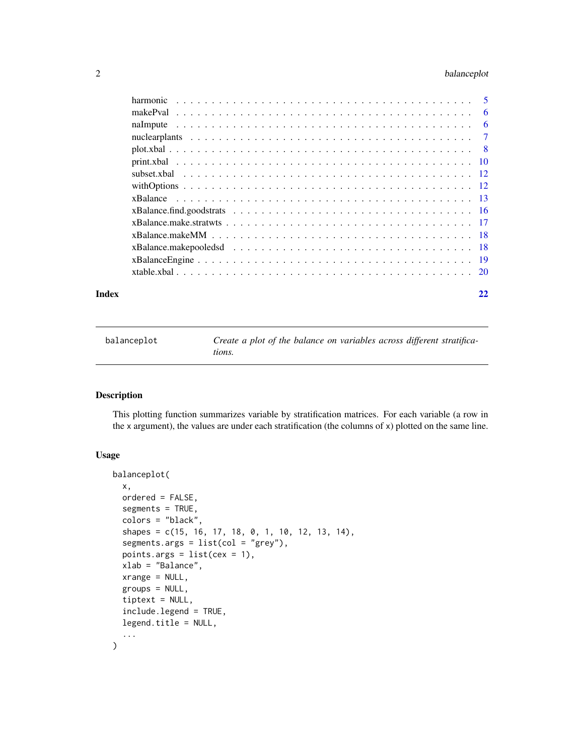#### <span id="page-1-0"></span>2 balanceplot

|  | - 6 |
|--|-----|
|  |     |
|  |     |
|  |     |
|  |     |
|  |     |
|  |     |
|  |     |
|  |     |
|  |     |
|  |     |
|  |     |
|  |     |
|  |     |
|  |     |

#### **Index** [22](#page-21-0)

<span id="page-1-1"></span>balanceplot *Create a plot of the balance on variables across different stratifications.*

#### Description

This plotting function summarizes variable by stratification matrices. For each variable (a row in the x argument), the values are under each stratification (the columns of x) plotted on the same line.

#### Usage

```
balanceplot(
  x,
  ordered = FALSE,
  segments = TRUE,
  colors = "black",
  shapes = c(15, 16, 17, 18, 0, 1, 10, 12, 13, 14),
  segments.args = list(col = "grey"),points.args = list(cex = 1),
  xlab = "Balance",
  xrange = NULL,
  groups = NULL,
  tiptext = NULL,
  include.legend = TRUE,
  legend.title = NULL,
  ...
)
```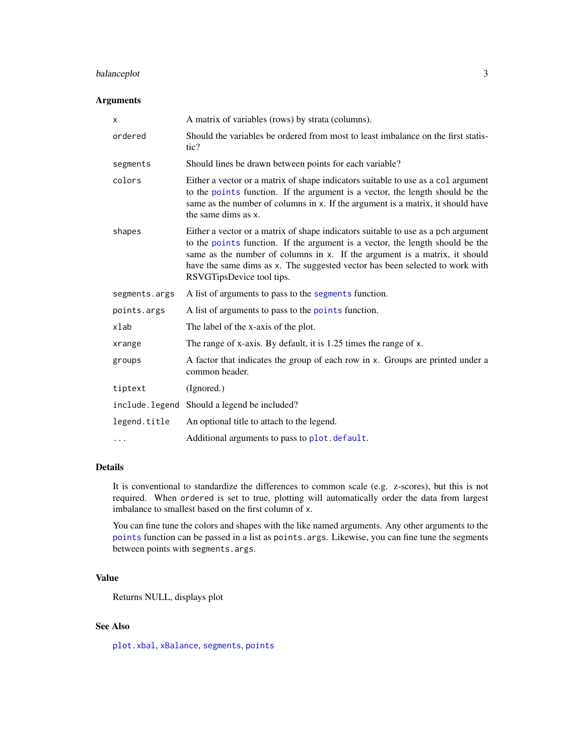#### <span id="page-2-0"></span>balanceplot 3

#### Arguments

| x             | A matrix of variables (rows) by strata (columns).                                                                                                                                                                                                                                                                                                             |
|---------------|---------------------------------------------------------------------------------------------------------------------------------------------------------------------------------------------------------------------------------------------------------------------------------------------------------------------------------------------------------------|
| ordered       | Should the variables be ordered from most to least imbalance on the first statis-<br>tic?                                                                                                                                                                                                                                                                     |
| segments      | Should lines be drawn between points for each variable?                                                                                                                                                                                                                                                                                                       |
| colors        | Either a vector or a matrix of shape indicators suitable to use as a col argument<br>to the points function. If the argument is a vector, the length should be the<br>same as the number of columns in x. If the argument is a matrix, it should have<br>the same dims as x.                                                                                  |
| shapes        | Either a vector or a matrix of shape indicators suitable to use as a pch argument<br>to the points function. If the argument is a vector, the length should be the<br>same as the number of columns in x. If the argument is a matrix, it should<br>have the same dims as x. The suggested vector has been selected to work with<br>RSVGTipsDevice tool tips. |
| segments.args | A list of arguments to pass to the segments function.                                                                                                                                                                                                                                                                                                         |
| points.args   | A list of arguments to pass to the points function.                                                                                                                                                                                                                                                                                                           |
| xlab          | The label of the x-axis of the plot.                                                                                                                                                                                                                                                                                                                          |
| xrange        | The range of x-axis. By default, it is 1.25 times the range of x.                                                                                                                                                                                                                                                                                             |
| groups        | A factor that indicates the group of each row in x. Groups are printed under a<br>common header.                                                                                                                                                                                                                                                              |
| tiptext       | (Ignored.)                                                                                                                                                                                                                                                                                                                                                    |
|               | include. legend Should a legend be included?                                                                                                                                                                                                                                                                                                                  |
| legend.title  | An optional title to attach to the legend.                                                                                                                                                                                                                                                                                                                    |
| .             | Additional arguments to pass to plot. default.                                                                                                                                                                                                                                                                                                                |

#### Details

It is conventional to standardize the differences to common scale (e.g. z-scores), but this is not required. When ordered is set to true, plotting will automatically order the data from largest imbalance to smallest based on the first column of x.

You can fine tune the colors and shapes with the like named arguments. Any other arguments to the [points](#page-0-0) function can be passed in a list as points.args. Likewise, you can fine tune the segments between points with segments.args.

#### Value

Returns NULL, displays plot

#### See Also

[plot.xbal](#page-7-1), [xBalance](#page-12-1), [segments](#page-0-0), [points](#page-0-0)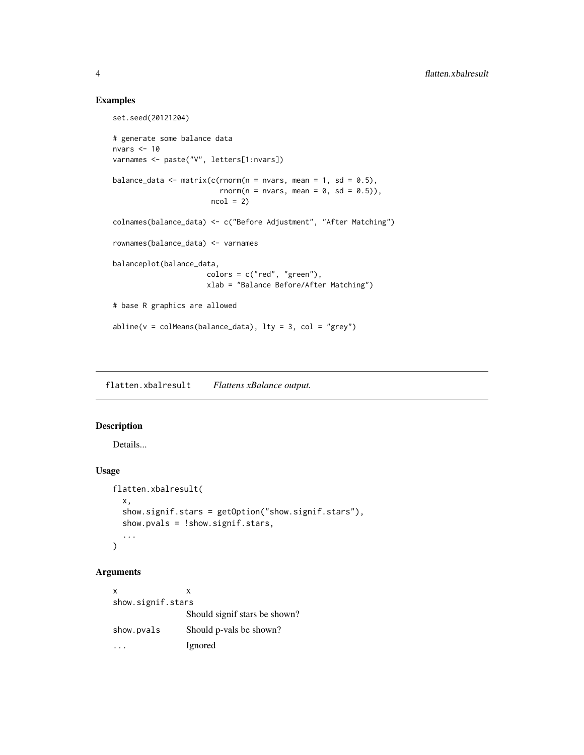#### Examples

```
set.seed(20121204)
# generate some balance data
nvars \leq -10varnames <- paste("V", letters[1:nvars])
balance_data <- matrix(c(rnorm(n = nvars, mean = 1, sd = 0.5),
                         rnorm(n = nvars, mean = 0, sd = 0.5)),
                       ncol = 2colnames(balance_data) <- c("Before Adjustment", "After Matching")
rownames(balance_data) <- varnames
balanceplot(balance_data,
                      colors = c("red", "green"),
                      xlab = "Balance Before/After Matching")
# base R graphics are allowed
abline(v = colMeans(balance_data), lty = 3, col = "grey")
```
flatten.xbalresult *Flattens xBalance output.*

#### Description

Details...

#### Usage

```
flatten.xbalresult(
  x,
  show.signif.stars = getOption("show.signif.stars"),
  show.pvals = !show.signif.stars,
  ...
)
```
#### Arguments

 $x \rightarrow x$ show.signif.stars Should signif stars be shown? show.pvals Should p-vals be shown? ... Ignored

<span id="page-3-0"></span>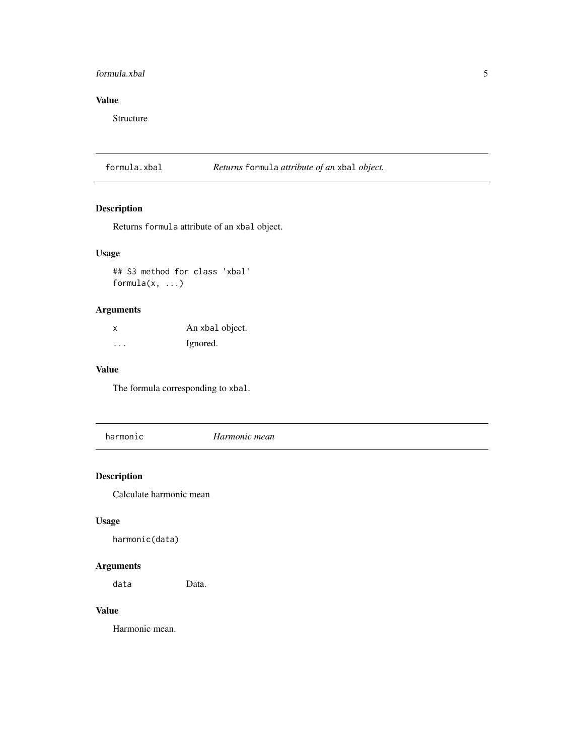#### <span id="page-4-0"></span>formula.xbal 5

### Value

Structure

formula.xbal *Returns* formula *attribute of an* xbal *object.*

#### Description

Returns formula attribute of an xbal object.

#### Usage

## S3 method for class 'xbal' formula(x, ...)

#### Arguments

x An xbal object. ... Ignored.

#### Value

The formula corresponding to xbal.

harmonic *Harmonic mean*

#### Description

Calculate harmonic mean

#### Usage

harmonic(data)

### Arguments

data Data.

#### Value

Harmonic mean.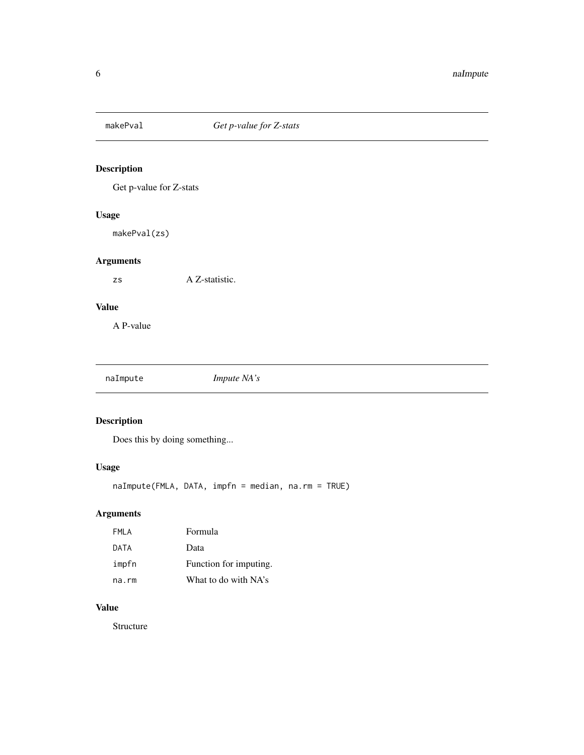<span id="page-5-0"></span>

Get p-value for Z-stats

#### Usage

makePval(zs)

#### Arguments

zs A Z-statistic.

#### Value

A P-value

naImpute *Impute NA's*

#### Description

Does this by doing something...

#### Usage

naImpute(FMLA, DATA, impfn = median, na.rm = TRUE)

# Arguments

| FMLA  | Formula                |
|-------|------------------------|
| DATA  | Data                   |
| impfn | Function for imputing. |
| na.rm | What to do with NA's   |

#### Value

Structure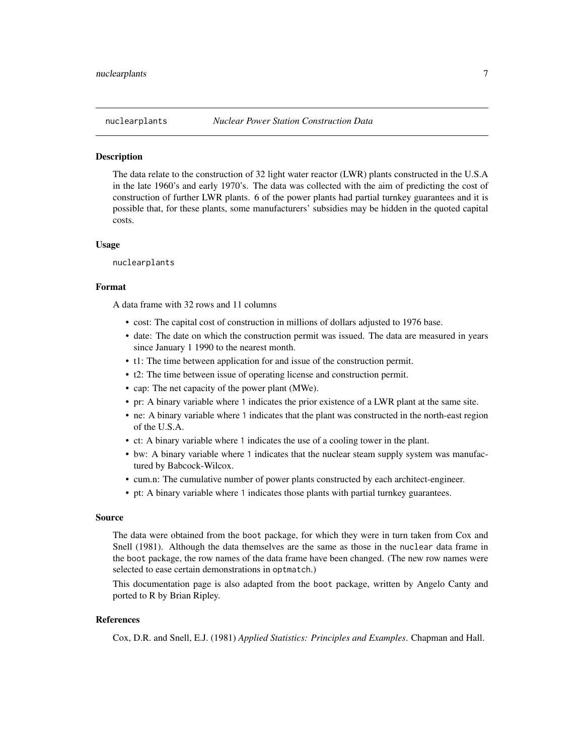<span id="page-6-0"></span>

The data relate to the construction of 32 light water reactor (LWR) plants constructed in the U.S.A in the late 1960's and early 1970's. The data was collected with the aim of predicting the cost of construction of further LWR plants. 6 of the power plants had partial turnkey guarantees and it is possible that, for these plants, some manufacturers' subsidies may be hidden in the quoted capital costs.

#### Usage

nuclearplants

#### Format

A data frame with 32 rows and 11 columns

- cost: The capital cost of construction in millions of dollars adjusted to 1976 base.
- date: The date on which the construction permit was issued. The data are measured in years since January 1 1990 to the nearest month.
- t1: The time between application for and issue of the construction permit.
- t2: The time between issue of operating license and construction permit.
- cap: The net capacity of the power plant (MWe).
- pr: A binary variable where 1 indicates the prior existence of a LWR plant at the same site.
- ne: A binary variable where 1 indicates that the plant was constructed in the north-east region of the U.S.A.
- ct: A binary variable where 1 indicates the use of a cooling tower in the plant.
- bw: A binary variable where 1 indicates that the nuclear steam supply system was manufactured by Babcock-Wilcox.
- cum.n: The cumulative number of power plants constructed by each architect-engineer.
- pt: A binary variable where 1 indicates those plants with partial turnkey guarantees.

#### Source

The data were obtained from the boot package, for which they were in turn taken from Cox and Snell (1981). Although the data themselves are the same as those in the nuclear data frame in the boot package, the row names of the data frame have been changed. (The new row names were selected to ease certain demonstrations in optmatch.)

This documentation page is also adapted from the boot package, written by Angelo Canty and ported to R by Brian Ripley.

#### References

Cox, D.R. and Snell, E.J. (1981) *Applied Statistics: Principles and Examples*. Chapman and Hall.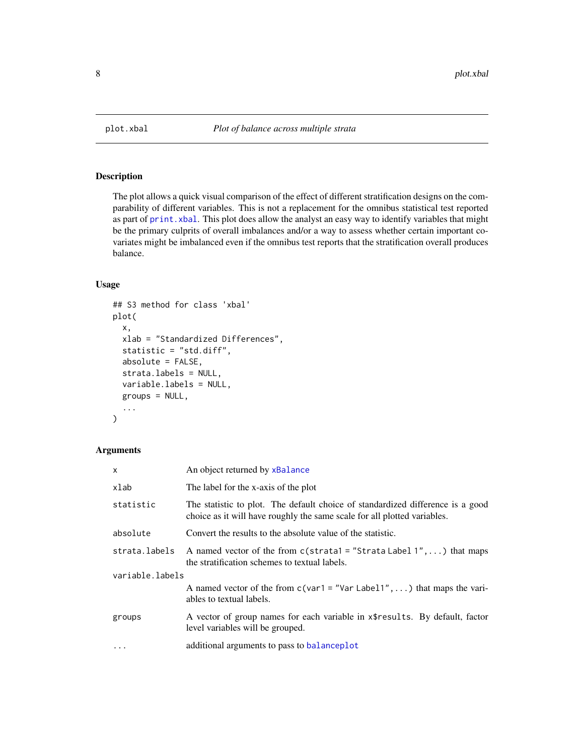<span id="page-7-1"></span><span id="page-7-0"></span>

The plot allows a quick visual comparison of the effect of different stratification designs on the comparability of different variables. This is not a replacement for the omnibus statistical test reported as part of [print.xbal](#page-9-1). This plot does allow the analyst an easy way to identify variables that might be the primary culprits of overall imbalances and/or a way to assess whether certain important covariates might be imbalanced even if the omnibus test reports that the stratification overall produces balance.

#### Usage

```
## S3 method for class 'xbal'
plot(
  x,
  xlab = "Standardized Differences",
  statistic = "std.diff",
  absolute = FALSE,
  strata.labels = NULL,
 variable.labels = NULL,
 groups = NULL,
  ...
)
```
#### Arguments

| x               | An object returned by xBalance                                                                                                                             |
|-----------------|------------------------------------------------------------------------------------------------------------------------------------------------------------|
| xlab            | The label for the x-axis of the plot                                                                                                                       |
| statistic       | The statistic to plot. The default choice of standardized difference is a good<br>choice as it will have roughly the same scale for all plotted variables. |
| absolute        | Convert the results to the absolute value of the statistic.                                                                                                |
| strata.labels   | A named vector of the from $c$ (strata1 = "Strata Label 1", ) that maps<br>the stratification schemes to textual labels.                                   |
| variable.labels |                                                                                                                                                            |
|                 | A named vector of the from $c(\text{var1} = \text{"Var Label1", \dots})$ that maps the vari-<br>ables to textual labels.                                   |
| groups          | A vector of group names for each variable in x\$results. By default, factor<br>level variables will be grouped.                                            |
| $\cdots$        | additional arguments to pass to balanceplot                                                                                                                |
|                 |                                                                                                                                                            |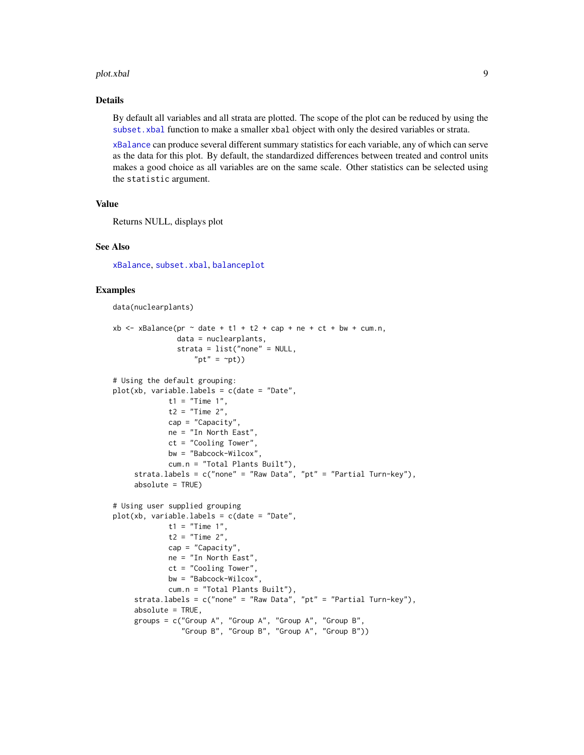#### <span id="page-8-0"></span>plot.xbal 9

#### Details

By default all variables and all strata are plotted. The scope of the plot can be reduced by using the subset. xbal function to make a smaller xbal object with only the desired variables or strata.

[xBalance](#page-12-1) can produce several different summary statistics for each variable, any of which can serve as the data for this plot. By default, the standardized differences between treated and control units makes a good choice as all variables are on the same scale. Other statistics can be selected using the statistic argument.

#### Value

Returns NULL, displays plot

#### See Also

[xBalance](#page-12-1), [subset.xbal](#page-11-1), [balanceplot](#page-1-1)

#### Examples

data(nuclearplants)

```
xb \le xBalance(pr \sim date + t1 + t2 + cap + ne + ct + bw + cum.n,
               data = nuclearplants,
               strata = list("none" = NULL,
                   "pt" = \simpt))
# Using the default grouping:
plot(xb, variable.labels = c(date = "Date",
             t1 = "Time 1",t2 = "Time 2"cap = "Capacity",
             ne = "In North East",
             ct = "Cooling Tower",
             bw = "Babcock-Wilcox",
             cum.n = "Total Plants Built"),
     strata.labels = c("none" = "Raw Data", "pt" = "Partial Turn-key"),absolute = TRUE)
# Using user supplied grouping
plot(xb, variable. labels = c(data = "Date",t1 = "Time 1",t2 = "Time 2",cap = "Capacity",
             ne = "In North East",
             ct = "Cooling Tower",
             bw = "Babcock-Wilcox",
             cum.n = "Total Plants Built"),
     strata.labels = c("none" = "Raw Data", "pt" = "Partial Turn-key"),
     absolute = TRUE,
     groups = c("Group A", "Group A", "Group A", "Group B",
                "Group B", "Group B", "Group A", "Group B"))
```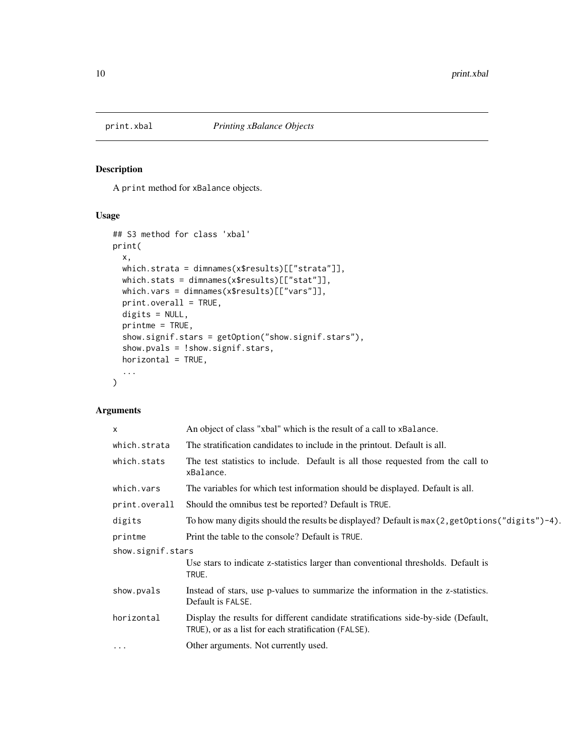<span id="page-9-1"></span><span id="page-9-0"></span>

A print method for xBalance objects.

#### Usage

```
## S3 method for class 'xbal'
print(
 x,
 which.strata = dimnames(x$results)[["strata"]],
 which.stats = dimnames(x$results)[["stat"]],
 which.vars = dimnames(x$results)[["vars"]],
 print.overall = TRUE,
 digits = NULL,
 printme = TRUE,
  show.signif.stars = getOption("show.signif.stars"),
  show.pvals = !show.signif.stars,
 horizontal = TRUE,
  ...
)
```
#### Arguments

| $\mathsf{x}$      | An object of class "xbal" which is the result of a call to xBalance.                                                                       |
|-------------------|--------------------------------------------------------------------------------------------------------------------------------------------|
| which.strata      | The stratification candidates to include in the printout. Default is all.                                                                  |
| which.stats       | The test statistics to include. Default is all those requested from the call to<br>xBalance.                                               |
| which.vars        | The variables for which test information should be displayed. Default is all.                                                              |
| print.overall     | Should the omnibus test be reported? Default is TRUE.                                                                                      |
| digits            | To how many digits should the results be displayed? Default is $max(2, getOptions("digits") - 4)$ .                                        |
| printme           | Print the table to the console? Default is TRUE.                                                                                           |
| show.signif.stars |                                                                                                                                            |
|                   | Use stars to indicate z-statistics larger than conventional thresholds. Default is<br>TRUE.                                                |
| show.pvals        | Instead of stars, use p-values to summarize the information in the z-statistics.<br>Default is FALSE.                                      |
| horizontal        | Display the results for different candidate stratifications side-by-side (Default,<br>TRUE), or as a list for each stratification (FALSE). |
| $\cdots$          | Other arguments. Not currently used.                                                                                                       |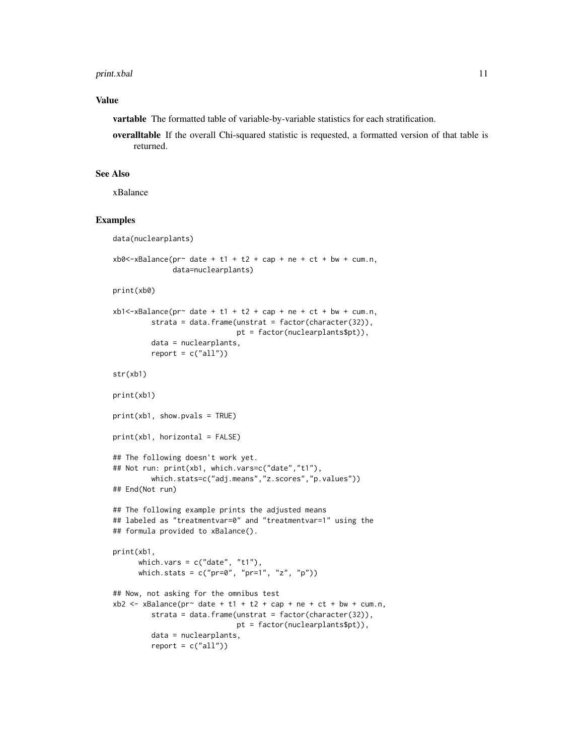#### print.xbal 11

#### Value

vartable The formatted table of variable-by-variable statistics for each stratification.

overalltable If the overall Chi-squared statistic is requested, a formatted version of that table is returned.

#### See Also

xBalance

#### Examples

```
data(nuclearplants)
xb0<-xBalance(pr^2 date + t1 + t2 + cap + ne + ct + bw + cum.n,data=nuclearplants)
print(xb0)
xb1 < -xBalance(pr~ date + t1 + t2 + cap + ne + ct + bw + cum.n,
        strata = data.frame(unstrat = factor(character(32)),
                            pt = factor(nuclearplants$pt)),
        data = nuclearplants,
        report = c("all"))str(xb1)
print(xb1)
print(xb1, show.pvals = TRUE)
print(xb1, horizontal = FALSE)## The following doesn't work yet.
## Not run: print(xb1, which.vars=c("date","t1"),
        which.stats=c("adj.means","z.scores","p.values"))
## End(Not run)
## The following example prints the adjusted means
## labeled as "treatmentvar=0" and "treatmentvar=1" using the
## formula provided to xBalance().
print(xb1,
     which.vars = c("date", "t1"),which.stats = c("pr=0", "pr=1", "z", "p")## Now, not asking for the omnibus test
xb2 < -xBalance(pr~ date + t1 + t2 + cap + ne + ct + bw + cum.n,
        strata = data.frame(unstrat = factor(character(32)),
                            pt = factor(nuclearplants$pt)),
        data = nuclearplants,
        report = c("all"))
```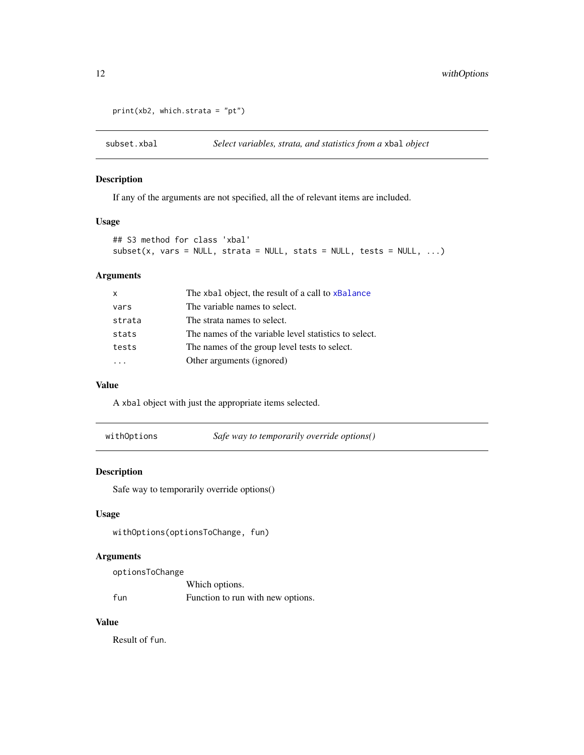```
print(xb2, which.strata = "pt")
```
<span id="page-11-1"></span>

If any of the arguments are not specified, all the of relevant items are included.

#### Usage

```
## S3 method for class 'xbal'
subset(x, vars = NULL, strata = NULL, stats = NULL, tests = NULL, ...)
```
#### Arguments

| X      | The xbal object, the result of a call to xBalance     |
|--------|-------------------------------------------------------|
| vars   | The variable names to select.                         |
| strata | The strata names to select.                           |
| stats  | The names of the variable level statistics to select. |
| tests  | The names of the group level tests to select.         |
|        | Other arguments (ignored)                             |

#### Value

A xbal object with just the appropriate items selected.

| withOptions | Safe way to temporarily override options() |
|-------------|--------------------------------------------|
|             |                                            |

### Description

Safe way to temporarily override options()

#### Usage

withOptions(optionsToChange, fun)

#### Arguments

```
optionsToChange
              Which options.
fun Function to run with new options.
```
#### Value

Result of fun.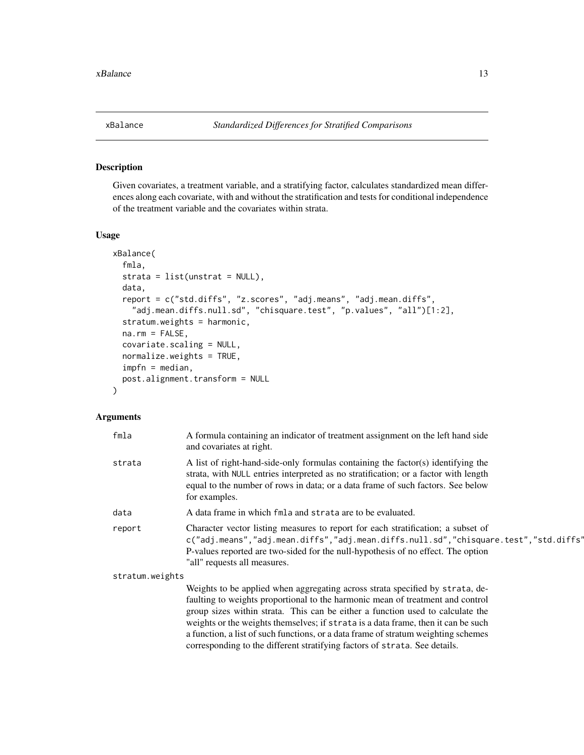<span id="page-12-1"></span><span id="page-12-0"></span>Given covariates, a treatment variable, and a stratifying factor, calculates standardized mean differences along each covariate, with and without the stratification and tests for conditional independence of the treatment variable and the covariates within strata.

#### Usage

```
xBalance(
  fmla,
  strata = list(unstrat = NULL),data,
  report = c("std.diffs", "z.scores", "adj.means", "adj.mean.diffs",
    "adj.mean.diffs.null.sd", "chisquare.test", "p.values", "all")[1:2],
  stratum.weights = harmonic,
  na.rm = FALSE,
  covariate.scaling = NULL,
  normalize.weights = TRUE,
  impfn = median,
  post.alignment.transform = NULL
)
```
#### Arguments

| fmla            | A formula containing an indicator of treatment assignment on the left hand side<br>and covariates at right.                                                                                                                                                                                  |
|-----------------|----------------------------------------------------------------------------------------------------------------------------------------------------------------------------------------------------------------------------------------------------------------------------------------------|
| strata          | A list of right-hand-side-only formulas containing the factor(s) identifying the<br>strata, with NULL entries interpreted as no stratification; or a factor with length<br>equal to the number of rows in data; or a data frame of such factors. See below<br>for examples.                  |
| data            | A data frame in which fmla and strata are to be evaluated.                                                                                                                                                                                                                                   |
| report          | Character vector listing measures to report for each stratification; a subset of<br>c("adj.means","adj.mean.diffs","adj.mean.diffs.null.sd","chisquare.test","std.diffs"<br>P-values reported are two-sided for the null-hypothesis of no effect. The option<br>"all" requests all measures. |
| stratum.weights |                                                                                                                                                                                                                                                                                              |
|                 | Weights to be applied when aggregating across strata specified by strata, de-                                                                                                                                                                                                                |
|                 |                                                                                                                                                                                                                                                                                              |

faulting to weights proportional to the harmonic mean of treatment and control group sizes within strata. This can be either a function used to calculate the weights or the weights themselves; if strata is a data frame, then it can be such a function, a list of such functions, or a data frame of stratum weighting schemes corresponding to the different stratifying factors of strata. See details.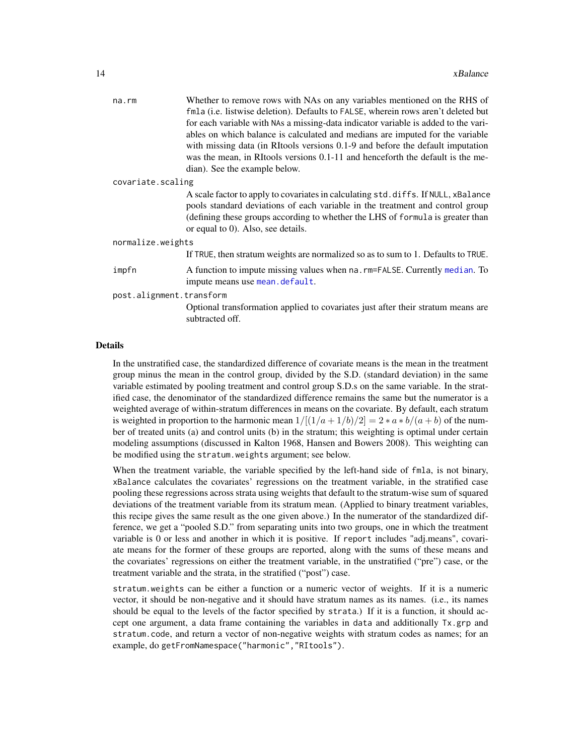<span id="page-13-0"></span>

|                   | $na$ . $rm$              | Whether to remove rows with NAs on any variables mentioned on the RHS of<br>fmla (i.e. listwise deletion). Defaults to FALSE, wherein rows aren't deleted but<br>for each variable with NAs a missing-data indicator variable is added to the vari-<br>ables on which balance is calculated and medians are imputed for the variable<br>with missing data (in RItools versions 0.1-9 and before the default imputation<br>was the mean, in RItools versions 0.1-11 and henceforth the default is the me- |  |  |  |  |  |
|-------------------|--------------------------|----------------------------------------------------------------------------------------------------------------------------------------------------------------------------------------------------------------------------------------------------------------------------------------------------------------------------------------------------------------------------------------------------------------------------------------------------------------------------------------------------------|--|--|--|--|--|
|                   |                          | dian). See the example below.                                                                                                                                                                                                                                                                                                                                                                                                                                                                            |  |  |  |  |  |
| covariate.scaling |                          |                                                                                                                                                                                                                                                                                                                                                                                                                                                                                                          |  |  |  |  |  |
|                   |                          | A scale factor to apply to covariates in calculating std. diffs. If NULL, xBalance<br>pools standard deviations of each variable in the treatment and control group<br>(defining these groups according to whether the LHS of formula is greater than<br>or equal to 0). Also, see details.                                                                                                                                                                                                              |  |  |  |  |  |
|                   | normalize.weights        |                                                                                                                                                                                                                                                                                                                                                                                                                                                                                                          |  |  |  |  |  |
|                   |                          | If TRUE, then stratum weights are normalized so as to sum to 1. Defaults to TRUE.                                                                                                                                                                                                                                                                                                                                                                                                                        |  |  |  |  |  |
|                   | impfn                    | A function to impute missing values when na. rm=FALSE. Currently median. To<br>impute means use mean.default.                                                                                                                                                                                                                                                                                                                                                                                            |  |  |  |  |  |
|                   | post.alignment.transform |                                                                                                                                                                                                                                                                                                                                                                                                                                                                                                          |  |  |  |  |  |
|                   |                          | Optional transformation applied to covariates just after their stratum means are<br>subtracted off.                                                                                                                                                                                                                                                                                                                                                                                                      |  |  |  |  |  |
|                   |                          |                                                                                                                                                                                                                                                                                                                                                                                                                                                                                                          |  |  |  |  |  |

#### Details

In the unstratified case, the standardized difference of covariate means is the mean in the treatment group minus the mean in the control group, divided by the S.D. (standard deviation) in the same variable estimated by pooling treatment and control group S.D.s on the same variable. In the stratified case, the denominator of the standardized difference remains the same but the numerator is a weighted average of within-stratum differences in means on the covariate. By default, each stratum is weighted in proportion to the harmonic mean  $1/[(1/a+1/b)/2] = 2*a*b/(a+b)$  of the number of treated units (a) and control units (b) in the stratum; this weighting is optimal under certain modeling assumptions (discussed in Kalton 1968, Hansen and Bowers 2008). This weighting can be modified using the stratum.weights argument; see below.

When the treatment variable, the variable specified by the left-hand side of fmla, is not binary, xBalance calculates the covariates' regressions on the treatment variable, in the stratified case pooling these regressions across strata using weights that default to the stratum-wise sum of squared deviations of the treatment variable from its stratum mean. (Applied to binary treatment variables, this recipe gives the same result as the one given above.) In the numerator of the standardized difference, we get a "pooled S.D." from separating units into two groups, one in which the treatment variable is 0 or less and another in which it is positive. If report includes "adj.means", covariate means for the former of these groups are reported, along with the sums of these means and the covariates' regressions on either the treatment variable, in the unstratified ("pre") case, or the treatment variable and the strata, in the stratified ("post") case.

stratum.weights can be either a function or a numeric vector of weights. If it is a numeric vector, it should be non-negative and it should have stratum names as its names. (i.e., its names should be equal to the levels of the factor specified by strata.) If it is a function, it should accept one argument, a data frame containing the variables in data and additionally Tx.grp and stratum.code, and return a vector of non-negative weights with stratum codes as names; for an example, do getFromNamespace("harmonic","RItools").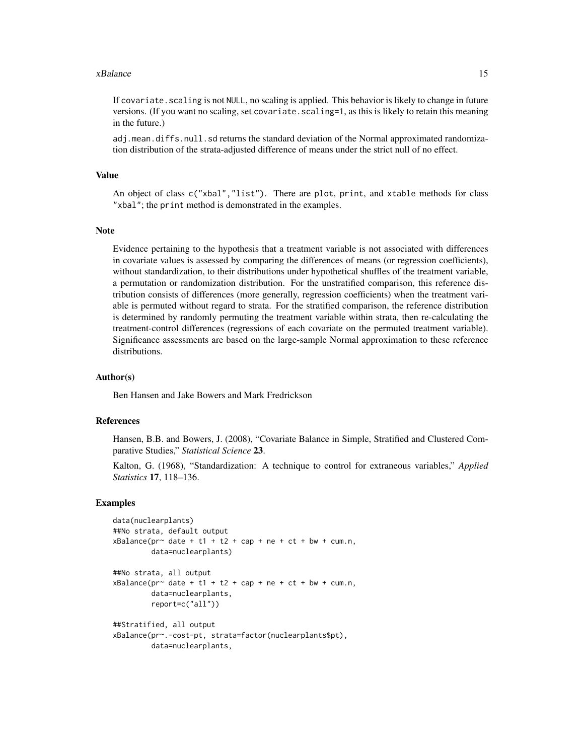#### xBalance 15

If covariate. scaling is not NULL, no scaling is applied. This behavior is likely to change in future versions. (If you want no scaling, set covariate, scaling=1, as this is likely to retain this meaning in the future.)

adj.mean.diffs.null.sd returns the standard deviation of the Normal approximated randomization distribution of the strata-adjusted difference of means under the strict null of no effect.

#### Value

An object of class c("xbal","list"). There are plot, print, and xtable methods for class "xbal"; the print method is demonstrated in the examples.

#### Note

Evidence pertaining to the hypothesis that a treatment variable is not associated with differences in covariate values is assessed by comparing the differences of means (or regression coefficients), without standardization, to their distributions under hypothetical shuffles of the treatment variable, a permutation or randomization distribution. For the unstratified comparison, this reference distribution consists of differences (more generally, regression coefficients) when the treatment variable is permuted without regard to strata. For the stratified comparison, the reference distribution is determined by randomly permuting the treatment variable within strata, then re-calculating the treatment-control differences (regressions of each covariate on the permuted treatment variable). Significance assessments are based on the large-sample Normal approximation to these reference distributions.

#### Author(s)

Ben Hansen and Jake Bowers and Mark Fredrickson

#### References

Hansen, B.B. and Bowers, J. (2008), "Covariate Balance in Simple, Stratified and Clustered Comparative Studies," *Statistical Science* 23.

Kalton, G. (1968), "Standardization: A technique to control for extraneous variables," *Applied Statistics* 17, 118–136.

#### Examples

```
data(nuclearplants)
##No strata, default output
xBalance(pr~ date + t1 + t2 + cap + ne + ct + bw + cum.n,
        data=nuclearplants)
##No strata, all output
xBalance(pr^{\sim} date + t1 + t2 + cap + ne + ct + bw + cum.n,data=nuclearplants,
        report=c("all"))
##Stratified, all output
xBalance(pr~.-cost-pt, strata=factor(nuclearplants$pt),
        data=nuclearplants,
```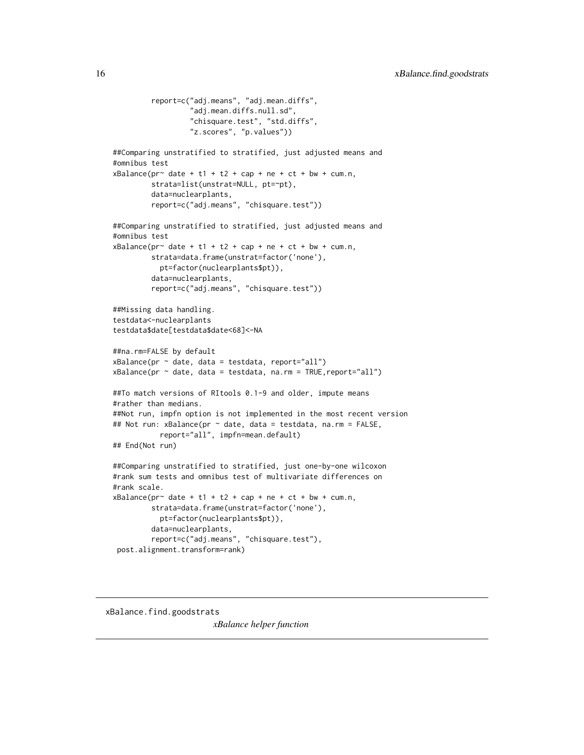```
report=c("adj.means", "adj.mean.diffs",
                  "adj.mean.diffs.null.sd",
                  "chisquare.test", "std.diffs",
                  "z.scores", "p.values"))
##Comparing unstratified to stratified, just adjusted means and
#omnibus test
xBalance(pr^{\sim} date + t1 + t2 + cap + ne + ct + bw + cum.n,strata=list(unstrat=NULL, pt=~pt),
        data=nuclearplants,
        report=c("adj.means", "chisquare.test"))
##Comparing unstratified to stratified, just adjusted means and
#omnibus test
xBalance(pr^{\sim} date + t1 + t2 + cap + ne + ct + bw + cum.n,strata=data.frame(unstrat=factor('none'),
           pt=factor(nuclearplants$pt)),
        data=nuclearplants,
        report=c("adj.means", "chisquare.test"))
##Missing data handling.
testdata<-nuclearplants
testdata$date[testdata$date<68]<-NA
##na.rm=FALSE by default
xBalance(pr \sim date, data = testdata, report="all")xBalance(pr \sim date, data = testdata, na.rm = TRUE, report="all")##To match versions of RItools 0.1-9 and older, impute means
#rather than medians.
##Not run, impfn option is not implemented in the most recent version
## Not run: xBalance(pr ~ date, data = testdata, na.rm = FALSE,
           report="all", impfn=mean.default)
## End(Not run)
##Comparing unstratified to stratified, just one-by-one wilcoxon
#rank sum tests and omnibus test of multivariate differences on
#rank scale.
xBalance(pr^{\sim} date + t1 + t2 + cap + ne + ct + bw + cum.n,strata=data.frame(unstrat=factor('none'),
           pt=factor(nuclearplants$pt)),
         data=nuclearplants,
        report=c("adj.means", "chisquare.test"),
post.alignment.transform=rank)
```
xBalance.find.goodstrats

*xBalance helper function*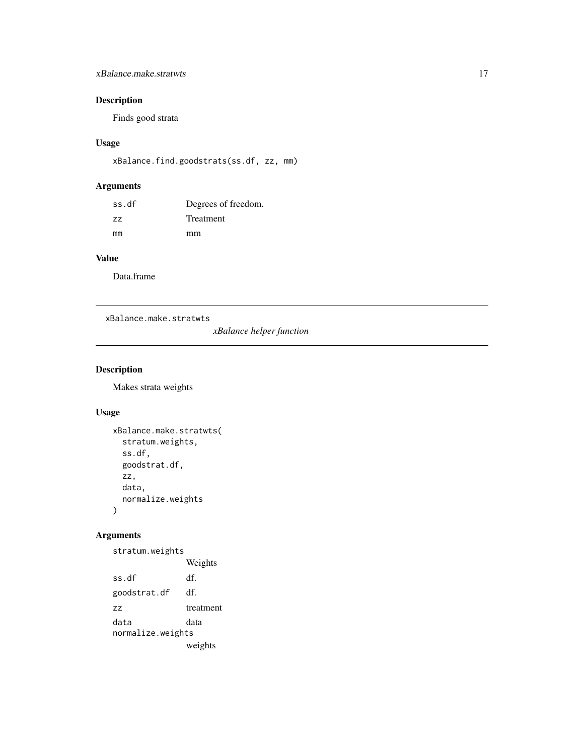#### <span id="page-16-0"></span>xBalance.make.stratwts 17

#### Description

Finds good strata

#### Usage

```
xBalance.find.goodstrats(ss.df, zz, mm)
```
#### Arguments

| ss.df | Degrees of freedom. |
|-------|---------------------|
| ΖZ    | Treatment           |
| mm    | mm                  |

#### Value

Data.frame

xBalance.make.stratwts

*xBalance helper function*

#### Description

Makes strata weights

#### Usage

```
xBalance.make.stratwts(
  stratum.weights,
  ss.df,
  goodstrat.df,
 zz,
 data,
 normalize.weights
)
```
## Arguments

stratum.weights Weights ss.df df. goodstrat.df df. zz treatment data data normalize.weights weights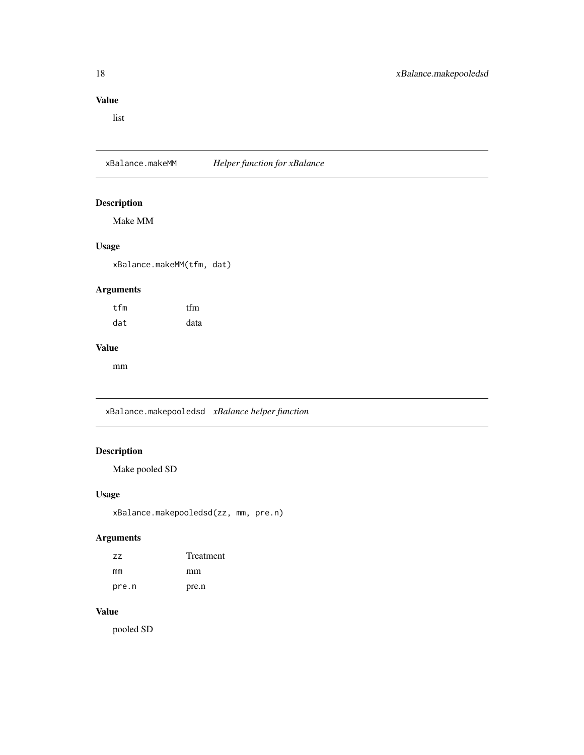#### <span id="page-17-0"></span>Value

list

xBalance.makeMM *Helper function for xBalance*

#### Description

Make MM

#### Usage

xBalance.makeMM(tfm, dat)

#### Arguments

| tfm | tfm  |
|-----|------|
| dat | data |

#### Value

mm

xBalance.makepooledsd *xBalance helper function*

#### Description

Make pooled SD

#### Usage

```
xBalance.makepooledsd(zz, mm, pre.n)
```
#### Arguments

| ZZ.   | Treatment |
|-------|-----------|
| mm    | mm        |
| pre.n | pre.n     |

#### Value

pooled SD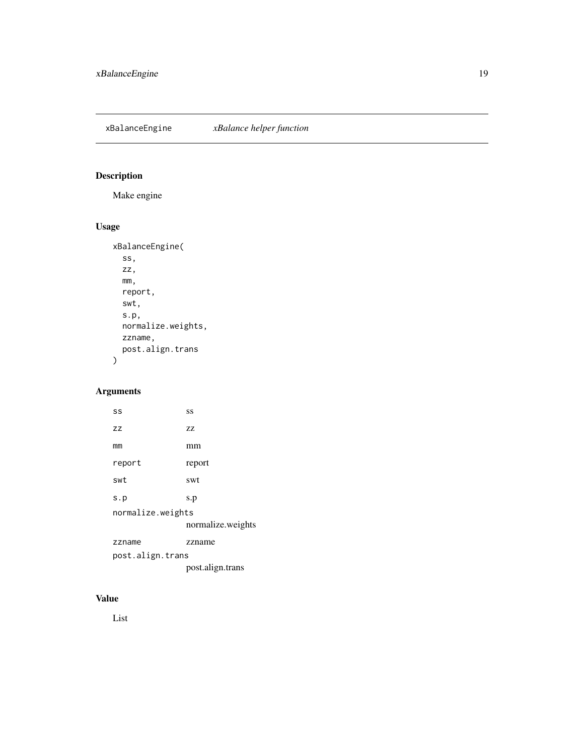<span id="page-18-0"></span>xBalanceEngine *xBalance helper function*

# Description

Make engine

# Usage

```
xBalanceEngine(
  ss,
  zz,
  mm,
  report,
  swt,
  s.p,
  normalize.weights,
  zzname,
  post.align.trans
)
```
### Arguments

| SS                | SS                |
|-------------------|-------------------|
| ZZ                | 77                |
| mm                | mm                |
| report            | report            |
| swt               | swt               |
| s.p               | s.p               |
| normalize.weights |                   |
|                   | normalize.weights |
| zzname            | zzname            |
| post.align.trans  |                   |
|                   | post.align.trans  |

## Value

List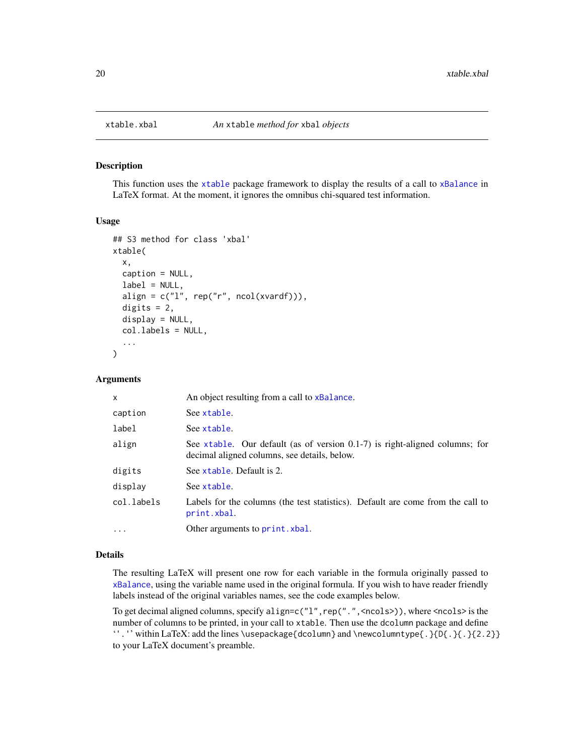<span id="page-19-0"></span>

This function uses the [xtable](#page-0-0) package framework to display the results of a call to [xBalance](#page-12-1) in LaTeX format. At the moment, it ignores the omnibus chi-squared test information.

#### Usage

```
## S3 method for class 'xbal'
xtable(
  x,
  caption = NULL,
  label = NULL,align = c("l", rep("r", ncol(xvardf)),
  digits = 2,
  display = NULL,
  col.labels = NULL,
  ...
)
```
#### Arguments

| X          | An object resulting from a call to xBalance.                                                                                |
|------------|-----------------------------------------------------------------------------------------------------------------------------|
| caption    | See xtable.                                                                                                                 |
| label      | See xtable.                                                                                                                 |
| align      | See xtable. Our default (as of version 0.1-7) is right-aligned columns; for<br>decimal aligned columns, see details, below. |
| digits     | See xtable. Default is 2.                                                                                                   |
| display    | See xtable.                                                                                                                 |
| col.labels | Labels for the columns (the test statistics). Default are come from the call to<br>print.xbal.                              |
| .          | Other arguments to print. xbal.                                                                                             |

#### Details

The resulting LaTeX will present one row for each variable in the formula originally passed to [xBalance](#page-12-1), using the variable name used in the original formula. If you wish to have reader friendly labels instead of the original variables names, see the code examples below.

To get decimal aligned columns, specify align=c( $"1"$ , rep(".", <ncols>)), where <ncols> is the number of columns to be printed, in your call to xtable. Then use the dcolumn package and define ''.'' within LaTeX: add the lines \usepackage{dcolumn} and \newcolumntype{.}{D{.}{.}{2.2}} to your LaTeX document's preamble.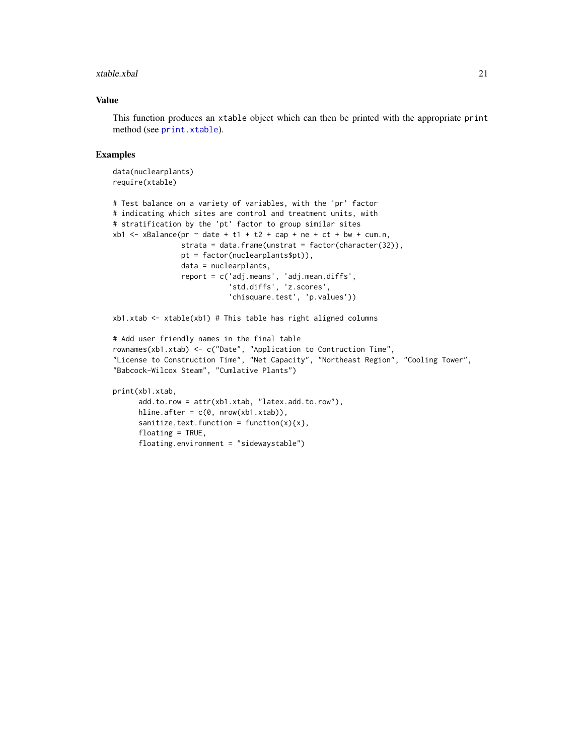#### <span id="page-20-0"></span>xtable.xbal 21

#### Value

This function produces an xtable object which can then be printed with the appropriate print method (see [print.xtable](#page-0-0)).

#### Examples

```
data(nuclearplants)
require(xtable)
```

```
# Test balance on a variety of variables, with the 'pr' factor
# indicating which sites are control and treatment units, with
# stratification by the 'pt' factor to group similar sites
xb1 < -xBalance(pr \sim date + t1 + t2 + cap + ne + ct + bw + cum.n,
                strata = data.frame(unstrat = factor(character(32)),
                pt = factor(nuclearplants$pt)),
                data = nuclearplants,
                report = c('adj.means', 'adj.mean.diffs',
                            'std.diffs', 'z.scores',
                           'chisquare.test', 'p.values'))
```
xb1.xtab <- xtable(xb1) # This table has right aligned columns

```
# Add user friendly names in the final table
rownames(xb1.xtab) <- c("Date", "Application to Contruction Time",
"License to Construction Time", "Net Capacity", "Northeast Region", "Cooling Tower",
"Babcock-Wilcox Steam", "Cumlative Plants")
```

```
print(xb1.xtab,
```

```
add.to.row = attr(xb1.xtab, "latex.add.to.row"),
hline.after = c(\theta, nrow(xb1.txtab)),
sanitize.text.function = function(x){x},
floating = TRUE,
floating.environment = "sidewaystable")
```